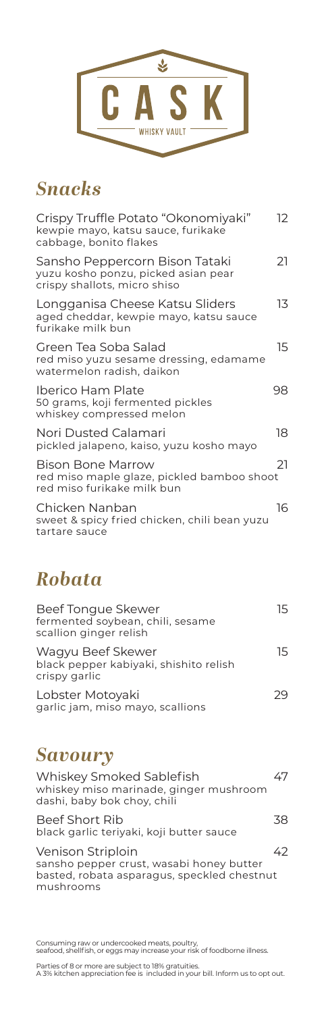

# *Snacks*

| Crispy Truffle Potato "Okonomiyaki"<br>kewpie mayo, katsu sauce, furikake<br>cabbage, bonito flakes   | 12 |
|-------------------------------------------------------------------------------------------------------|----|
| Sansho Peppercorn Bison Tataki<br>yuzu kosho ponzu, picked asian pear<br>crispy shallots, micro shiso | 21 |
| Longganisa Cheese Katsu Sliders<br>aged cheddar, kewpie mayo, katsu sauce<br>furikake milk bun        | 13 |
| Green Tea Soba Salad<br>red miso yuzu sesame dressing, edamame<br>watermelon radish, daikon           | 15 |
| <b>Iberico Ham Plate</b><br>50 grams, koji fermented pickles<br>whiskey compressed melon              | 98 |
| Nori Dusted Calamari<br>pickled jalapeno, kaiso, yuzu kosho mayo                                      | 18 |
| Bison Bone Marrow<br>red miso maple glaze, pickled bamboo shoot<br>red miso furikake milk bun         | 21 |
| Chicken Nanban<br>sweet & spicy fried chicken, chili bean yuzu<br>tartare sauce                       | 16 |
|                                                                                                       |    |

# *Robata*

| Beef Tongue Skewer<br>fermented soybean, chili, sesame<br>scallion ginger relish | 15 |
|----------------------------------------------------------------------------------|----|
| Wagyu Beef Skewer<br>black pepper kabiyaki, shishito relish<br>crispy garlic     | 15 |
| Lobster Motoyaki<br>garlic jam, miso mayo, scallions                             |    |

# *Savoury*

| Whiskey Smoked Sablefish<br>whiskey miso marinade, ginger mushroom<br>dashi, baby bok choy, chili                         |     |
|---------------------------------------------------------------------------------------------------------------------------|-----|
| <b>Beef Short Rib</b><br>black garlic teriyaki, koji butter sauce                                                         | -48 |
| Venison Striploin<br>sansho pepper crust, wasabi honey butter<br>basted, robata asparagus, speckled chestnut<br>mushrooms |     |

Consuming raw or undercooked meats, poultry, seafood, shellfish, or eggs may increase your risk of foodborne illness.

Parties of 8 or more are subject to 18% gratuities. A 3% kitchen appreciation fee is included in your bill. Inform us to opt out.